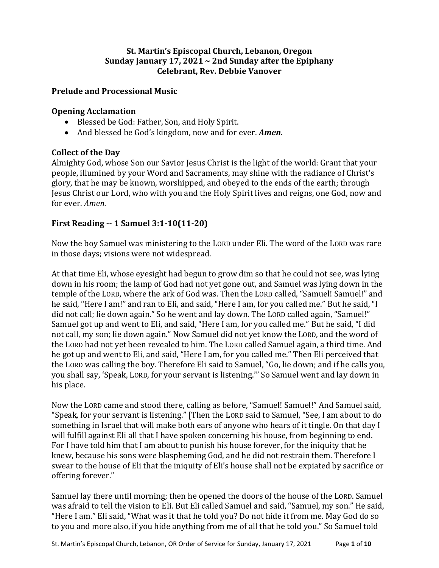### **St. Martin's Episcopal Church, Lebanon, Oregon Sunday January 17, 2021 ~ 2nd Sunday after the Epiphany Celebrant, Rev. Debbie Vanover**

## **Prelude and Processional Music**

## **Opening Acclamation**

- Blessed be God: Father, Son, and Holy Spirit.
- And blessed be God's kingdom, now and for ever. *Amen.*

## **Collect of the Day**

Almighty God, whose Son our Savior Jesus Christ is the light of the world: Grant that your people, illumined by your Word and Sacraments, may shine with the radiance of Christ's glory, that he may be known, worshipped, and obeyed to the ends of the earth; through Jesus Christ our Lord, who with you and the Holy Spirit lives and reigns, one God, now and for ever. *Amen.*

# **First Reading -- 1 Samuel 3:1-10(11-20)**

Now the boy Samuel was ministering to the LORD under Eli. The word of the LORD was rare in those days; visions were not widespread.

At that time Eli, whose eyesight had begun to grow dim so that he could not see, was lying down in his room; the lamp of God had not yet gone out, and Samuel was lying down in the temple of the LORD, where the ark of God was. Then the LORD called, "Samuel! Samuel!" and he said, "Here I am!" and ran to Eli, and said, "Here I am, for you called me." But he said, "I did not call; lie down again." So he went and lay down. The LORD called again, "Samuel!" Samuel got up and went to Eli, and said, "Here I am, for you called me." But he said, "I did not call, my son; lie down again." Now Samuel did not yet know the LORD, and the word of the LORD had not yet been revealed to him. The LORD called Samuel again, a third time. And he got up and went to Eli, and said, "Here I am, for you called me." Then Eli perceived that the LORD was calling the boy. Therefore Eli said to Samuel, "Go, lie down; and if he calls you, you shall say, 'Speak, LORD, for your servant is listening.'" So Samuel went and lay down in his place.

Now the LORD came and stood there, calling as before, "Samuel! Samuel!" And Samuel said, "Speak, for your servant is listening." [Then the LORD said to Samuel, "See, I am about to do something in Israel that will make both ears of anyone who hears of it tingle. On that day I will fulfill against Eli all that I have spoken concerning his house, from beginning to end. For I have told him that I am about to punish his house forever, for the iniquity that he knew, because his sons were blaspheming God, and he did not restrain them. Therefore I swear to the house of Eli that the iniquity of Eli's house shall not be expiated by sacrifice or offering forever."

Samuel lay there until morning; then he opened the doors of the house of the LORD. Samuel was afraid to tell the vision to Eli. But Eli called Samuel and said, "Samuel, my son." He said, "Here I am." Eli said, "What was it that he told you? Do not hide it from me. May God do so to you and more also, if you hide anything from me of all that he told you." So Samuel told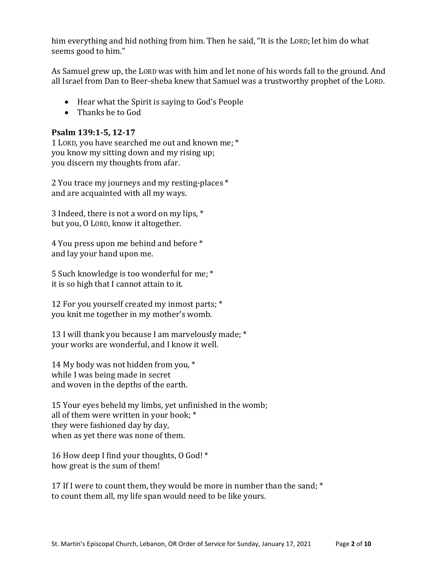him everything and hid nothing from him. Then he said, "It is the LORD; let him do what seems good to him."

As Samuel grew up, the LORD was with him and let none of his words fall to the ground. And all Israel from Dan to Beer-sheba knew that Samuel was a trustworthy prophet of the LORD.

- Hear what the Spirit is saying to God's People
- Thanks be to God

## **Psalm 139:1-5, 12-17**

1 LORD, you have searched me out and known me; \* you know my sitting down and my rising up; you discern my thoughts from afar.

2 You trace my journeys and my resting-places \* and are acquainted with all my ways.

3 Indeed, there is not a word on my lips, \* but you, O LORD, know it altogether.

4 You press upon me behind and before \* and lay your hand upon me.

5 Such knowledge is too wonderful for me; \* it is so high that I cannot attain to it.

12 For you yourself created my inmost parts; \* you knit me together in my mother's womb.

13 I will thank you because I am marvelously made; \* your works are wonderful, and I know it well.

14 My body was not hidden from you, \* while I was being made in secret and woven in the depths of the earth.

15 Your eyes beheld my limbs, yet unfinished in the womb; all of them were written in your book; \* they were fashioned day by day, when as yet there was none of them.

16 How deep I find your thoughts, O God! \* how great is the sum of them!

17 If I were to count them, they would be more in number than the sand; \* to count them all, my life span would need to be like yours.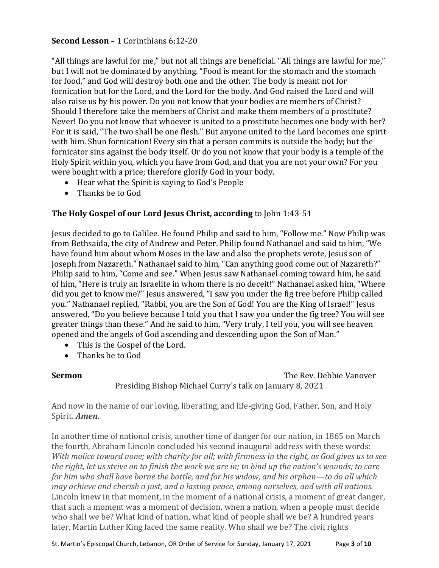## **Second Lesson** – 1 Corinthians 6:12-20

"All things are lawful for me," but not all things are beneficial. "All things are lawful for me," but I will not be dominated by anything. "Food is meant for the stomach and the stomach for food," and God will destroy both one and the other. The body is meant not for fornication but for the Lord, and the Lord for the body. And God raised the Lord and will also raise us by his power. Do you not know that your bodies are members of Christ? Should I therefore take the members of Christ and make them members of a prostitute? Never! Do you not know that whoever is united to a prostitute becomes one body with her? For it is said, "The two shall be one flesh." But anyone united to the Lord becomes one spirit with him. Shun fornication! Every sin that a person commits is outside the body; but the fornicator sins against the body itself. Or do you not know that your body is a temple of the Holy Spirit within you, which you have from God, and that you are not your own? For you were bought with a price; therefore glorify God in your body.

- Hear what the Spirit is saying to God's People
- Thanks be to God

## **The Holy Gospel of our Lord Jesus Christ, according** to John 1:43-51

Jesus decided to go to Galilee. He found Philip and said to him, "Follow me." Now Philip was from Bethsaida, the city of Andrew and Peter. Philip found Nathanael and said to him, "We have found him about whom Moses in the law and also the prophets wrote, Jesus son of Joseph from Nazareth." Nathanael said to him, "Can anything good come out of Nazareth?" Philip said to him, "Come and see." When Jesus saw Nathanael coming toward him, he said of him, "Here is truly an Israelite in whom there is no deceit!" Nathanael asked him, "Where did you get to know me?" Jesus answered, "I saw you under the fig tree before Philip called you." Nathanael replied, "Rabbi, you are the Son of God! You are the King of Israel!" Jesus answered, "Do you believe because I told you that I saw you under the fig tree? You will see greater things than these." And he said to him, "Very truly, I tell you, you will see heaven opened and the angels of God ascending and descending upon the Son of Man."

- This is the Gospel of the Lord.
- Thanks be to God

**Sermon Sermon Sermon** *The Rev. Debbie Vanover* Presiding Bishop Michael Curry's talk on January 8, 2021

And now in the name of our loving, liberating, and life-giving God, Father, Son, and Holy Spirit. *Amen.*

In another time of national crisis, another time of danger for our nation, in 1865 on March the fourth, Abraham Lincoln concluded his second inaugural address with these words: *With malice toward none; with charity for all; with firmness in the right, as God gives us to see the right, let us strive on to finish the work we are in; to bind up the nation's wounds; to care for him who shall have borne the battle, and for his widow, and his orphan—to do all which may achieve and cherish a just, and a lasting peace, among ourselves, and with all nations.* Lincoln knew in that moment, in the moment of a national crisis, a moment of great danger, that such a moment was a moment of decision, when a nation, when a people must decide who shall we be? What kind of nation, what kind of people shall we be? A hundred years later, Martin Luther King faced the same reality. Who shall we be? The civil rights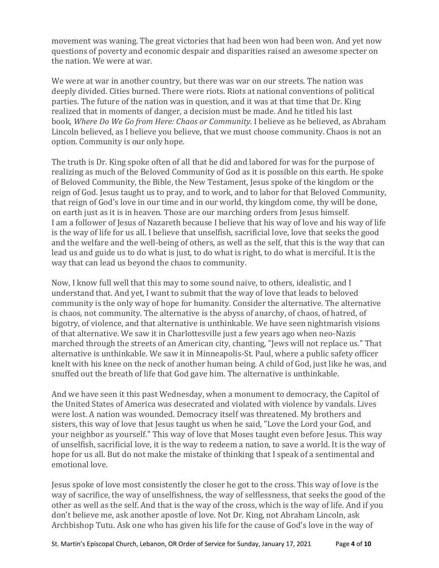movement was waning. The great victories that had been won had been won. And yet now questions of poverty and economic despair and disparities raised an awesome specter on the nation. We were at war.

We were at war in another country, but there was war on our streets. The nation was deeply divided. Cities burned. There were riots. Riots at national conventions of political parties. The future of the nation was in question, and it was at that time that Dr. King realized that in moments of danger, a decision must be made. And he titled his last book, *Where Do We Go from Here: Chaos or Community*. I believe as he believed, as Abraham Lincoln believed, as I believe you believe, that we must choose community. Chaos is not an option. Community is our only hope.

The truth is Dr. King spoke often of all that he did and labored for was for the purpose of realizing as much of the Beloved Community of God as it is possible on this earth. He spoke of Beloved Community, the Bible, the New Testament, Jesus spoke of the kingdom or the reign of God. Jesus taught us to pray, and to work, and to labor for that Beloved Community, that reign of God's love in our time and in our world, thy kingdom come, thy will be done, on earth just as it is in heaven. Those are our marching orders from Jesus himself. I am a follower of Jesus of Nazareth because I believe that his way of love and his way of life is the way of life for us all. I believe that unselfish, sacrificial love, love that seeks the good and the welfare and the well-being of others, as well as the self, that this is the way that can lead us and guide us to do what is just, to do what is right, to do what is merciful. It is the way that can lead us beyond the chaos to community.

Now, I know full well that this may to some sound naive, to others, idealistic, and I understand that. And yet, I want to submit that the way of love that leads to beloved community is the only way of hope for humanity. Consider the alternative. The alternative is chaos, not community. The alternative is the abyss of anarchy, of chaos, of hatred, of bigotry, of violence, and that alternative is unthinkable. We have seen nightmarish visions of that alternative. We saw it in Charlottesville just a few years ago when neo-Nazis marched through the streets of an American city, chanting, "Jews will not replace us." That alternative is unthinkable. We saw it in Minneapolis-St. Paul, where a public safety officer knelt with his knee on the neck of another human being. A child of God, just like he was, and snuffed out the breath of life that God gave him. The alternative is unthinkable.

And we have seen it this past Wednesday, when a monument to democracy, the Capitol of the United States of America was desecrated and violated with violence by vandals. Lives were lost. A nation was wounded. Democracy itself was threatened. My brothers and sisters, this way of love that Jesus taught us when he said, "Love the Lord your God, and your neighbor as yourself." This way of love that Moses taught even before Jesus. This way of unselfish, sacrificial love, it is the way to redeem a nation, to save a world. It is the way of hope for us all. But do not make the mistake of thinking that I speak of a sentimental and emotional love.

Jesus spoke of love most consistently the closer he got to the cross. This way of love is the way of sacrifice, the way of unselfishness, the way of selflessness, that seeks the good of the other as well as the self. And that is the way of the cross, which is the way of life. And if you don't believe me, ask another apostle of love. Not Dr. King, not Abraham Lincoln, ask Archbishop Tutu. Ask one who has given his life for the cause of God's love in the way of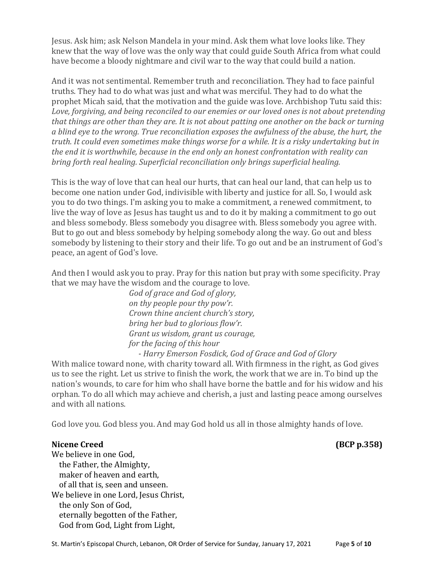Jesus. Ask him; ask Nelson Mandela in your mind. Ask them what love looks like. They knew that the way of love was the only way that could guide South Africa from what could have become a bloody nightmare and civil war to the way that could build a nation.

And it was not sentimental. Remember truth and reconciliation. They had to face painful truths. They had to do what was just and what was merciful. They had to do what the prophet Micah said, that the motivation and the guide was love. Archbishop Tutu said this: *Love, forgiving, and being reconciled to our enemies or our loved ones is not about pretending that things are other than they are. It is not about patting one another on the back or turning a blind eye to the wrong. True reconciliation exposes the awfulness of the abuse, the hurt, the truth. It could even sometimes make things worse for a while. It is a risky undertaking but in the end it is worthwhile, because in the end only an honest confrontation with reality can bring forth real healing. Superficial reconciliation only brings superficial healing.*

This is the way of love that can heal our hurts, that can heal our land, that can help us to become one nation under God, indivisible with liberty and justice for all. So, I would ask you to do two things. I'm asking you to make a commitment, a renewed commitment, to live the way of love as Jesus has taught us and to do it by making a commitment to go out and bless somebody. Bless somebody you disagree with. Bless somebody you agree with. But to go out and bless somebody by helping somebody along the way. Go out and bless somebody by listening to their story and their life. To go out and be an instrument of God's peace, an agent of God's love.

And then I would ask you to pray. Pray for this nation but pray with some specificity. Pray that we may have the wisdom and the courage to love.

*God of grace and God of glory, on thy people pour thy pow'r. Crown thine ancient church's story, bring her bud to glorious flow'r. Grant us wisdom, grant us courage, for the facing of this hour*

 *- Harry Emerson Fosdick, God of Grace and God of Glory*

With malice toward none, with charity toward all. With firmness in the right, as God gives us to see the right. Let us strive to finish the work, the work that we are in. To bind up the nation's wounds, to care for him who shall have borne the battle and for his widow and his orphan. To do all which may achieve and cherish, a just and lasting peace among ourselves and with all nations.

God love you. God bless you. And may God hold us all in those almighty hands of love.

### **Nicene Creed** (BCP p.358)

We believe in one God, the Father, the Almighty, maker of heaven and earth, of all that is, seen and unseen. We believe in one Lord, Jesus Christ, the only Son of God, eternally begotten of the Father, God from God, Light from Light,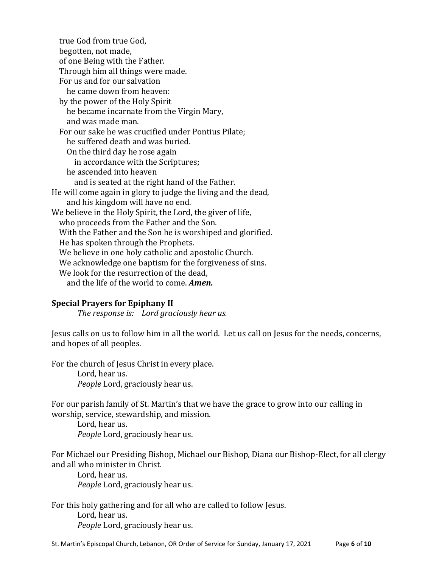true God from true God, begotten, not made, of one Being with the Father. Through him all things were made. For us and for our salvation he came down from heaven: by the power of the Holy Spirit he became incarnate from the Virgin Mary, and was made man. For our sake he was crucified under Pontius Pilate; he suffered death and was buried. On the third day he rose again in accordance with the Scriptures; he ascended into heaven and is seated at the right hand of the Father. He will come again in glory to judge the living and the dead, and his kingdom will have no end. We believe in the Holy Spirit, the Lord, the giver of life, who proceeds from the Father and the Son. With the Father and the Son he is worshiped and glorified. He has spoken through the Prophets. We believe in one holy catholic and apostolic Church. We acknowledge one baptism for the forgiveness of sins. We look for the resurrection of the dead, and the life of the world to come. *Amen.*

### **Special Prayers for Epiphany II**

*The response is: Lord graciously hear us.*

Jesus calls on us to follow him in all the world. Let us call on Jesus for the needs, concerns, and hopes of all peoples.

For the church of Jesus Christ in every place. Lord, hear us. *People* Lord, graciously hear us.

For our parish family of St. Martin's that we have the grace to grow into our calling in worship, service, stewardship, and mission.

Lord, hear us. *People* Lord, graciously hear us.

For Michael our Presiding Bishop, Michael our Bishop, Diana our Bishop-Elect, for all clergy and all who minister in Christ.

Lord, hear us. *People* Lord, graciously hear us.

For this holy gathering and for all who are called to follow Jesus. Lord, hear us. *People* Lord, graciously hear us.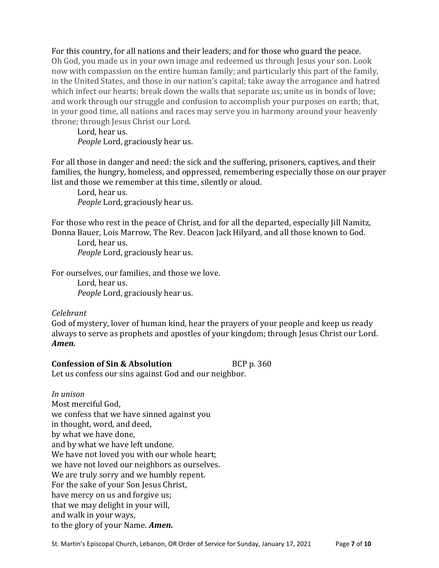For this country, for all nations and their leaders, and for those who guard the peace. Oh God, you made us in your own image and redeemed us through Jesus your son. Look now with compassion on the entire human family; and particularly this part of the family, in the United States, and those in our nation's capital; take away the arrogance and hatred which infect our hearts; break down the walls that separate us; unite us in bonds of love; and work through our struggle and confusion to accomplish your purposes on earth; that, in your good time, all nations and races may serve you in harmony around your heavenly throne; through Jesus Christ our Lord.

Lord, hear us. *People* Lord, graciously hear us.

For all those in danger and need: the sick and the suffering, prisoners, captives, and their families, the hungry, homeless, and oppressed, remembering especially those on our prayer list and those we remember at this time, silently or aloud.

Lord, hear us. *People* Lord, graciously hear us.

For those who rest in the peace of Christ, and for all the departed, especially Jill Namitz, Donna Bauer, Lois Marrow, The Rev. Deacon Jack Hilyard, and all those known to God.

Lord, hear us.

*People* Lord, graciously hear us.

For ourselves, our families, and those we love. Lord, hear us. *People* Lord, graciously hear us.

### *Celebrant*

God of mystery, lover of human kind, hear the prayers of your people and keep us ready always to serve as prophets and apostles of your kingdom; through Jesus Christ our Lord. *Amen.*

### **Confession of Sin & Absolution BCP p. 360**

Let us confess our sins against God and our neighbor.

*In unison* Most merciful God, we confess that we have sinned against you in thought, word, and deed, by what we have done, and by what we have left undone. We have not loved you with our whole heart; we have not loved our neighbors as ourselves. We are truly sorry and we humbly repent. For the sake of your Son Jesus Christ, have mercy on us and forgive us; that we may delight in your will, and walk in your ways, to the glory of your Name. *Amen.*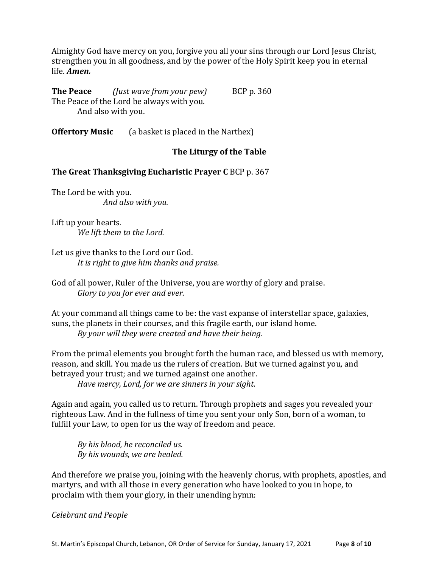Almighty God have mercy on you, forgive you all your sins through our Lord Jesus Christ, strengthen you in all goodness, and by the power of the Holy Spirit keep you in eternal life. *Amen.*

**The Peace** *(Just wave from your pew)* BCP p. 360 The Peace of the Lord be always with you. And also with you.

**Offertory Music** (a basket is placed in the Narthex)

# **The Liturgy of the Table**

**The Great Thanksgiving Eucharistic Prayer C** BCP p. 367

The Lord be with you. *And also with you.*

Lift up your hearts. *We lift them to the Lord.*

Let us give thanks to the Lord our God. *It is right to give him thanks and praise.*

God of all power, Ruler of the Universe, you are worthy of glory and praise. *Glory to you for ever and ever.*

At your command all things came to be: the vast expanse of interstellar space, galaxies, suns, the planets in their courses, and this fragile earth, our island home. *By your will they were created and have their being.*

From the primal elements you brought forth the human race, and blessed us with memory, reason, and skill. You made us the rulers of creation. But we turned against you, and betrayed your trust; and we turned against one another.

*Have mercy, Lord, for we are sinners in your sight.*

Again and again, you called us to return. Through prophets and sages you revealed your righteous Law. And in the fullness of time you sent your only Son, born of a woman, to fulfill your Law, to open for us the way of freedom and peace.

*By his blood, he reconciled us. By his wounds, we are healed.*

And therefore we praise you, joining with the heavenly chorus, with prophets, apostles, and martyrs, and with all those in every generation who have looked to you in hope, to proclaim with them your glory, in their unending hymn:

#### *Celebrant and People*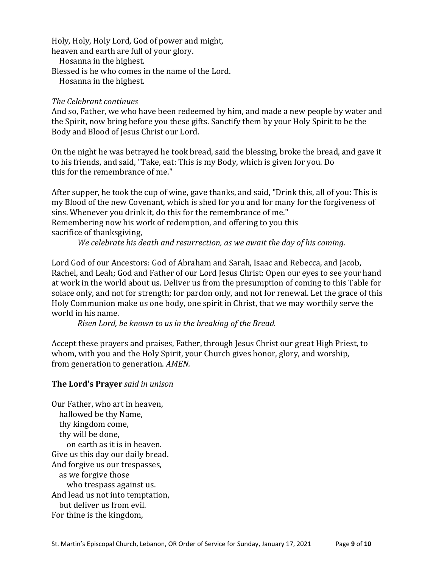Holy, Holy, Holy Lord, God of power and might, heaven and earth are full of your glory. Hosanna in the highest. Blessed is he who comes in the name of the Lord.

Hosanna in the highest.

#### *The Celebrant continues*

And so, Father, we who have been redeemed by him, and made a new people by water and the Spirit, now bring before you these gifts. Sanctify them by your Holy Spirit to be the Body and Blood of Jesus Christ our Lord.

On the night he was betrayed he took bread, said the blessing, broke the bread, and gave it to his friends, and said, "Take, eat: This is my Body, which is given for you. Do this for the remembrance of me."

After supper, he took the cup of wine, gave thanks, and said, "Drink this, all of you: This is my Blood of the new Covenant, which is shed for you and for many for the forgiveness of sins. Whenever you drink it, do this for the remembrance of me." Remembering now his work of redemption, and offering to you this sacrifice of thanksgiving,

*We celebrate his death and resurrection, as we await the day of his coming.*

Lord God of our Ancestors: God of Abraham and Sarah, Isaac and Rebecca, and Jacob, Rachel, and Leah; God and Father of our Lord Jesus Christ: Open our eyes to see your hand at work in the world about us. Deliver us from the presumption of coming to this Table for solace only, and not for strength; for pardon only, and not for renewal. Let the grace of this Holy Communion make us one body, one spirit in Christ, that we may worthily serve the world in his name.

*Risen Lord, be known to us in the breaking of the Bread.*

Accept these prayers and praises, Father, through Jesus Christ our great High Priest, to whom, with you and the Holy Spirit, your Church gives honor, glory, and worship, from generation to generation. *AMEN.*

#### **The Lord's Prayer** *said in unison*

Our Father, who art in heaven, hallowed be thy Name, thy kingdom come, thy will be done, on earth as it is in heaven. Give us this day our daily bread. And forgive us our trespasses, as we forgive those who trespass against us. And lead us not into temptation, but deliver us from evil. For thine is the kingdom,